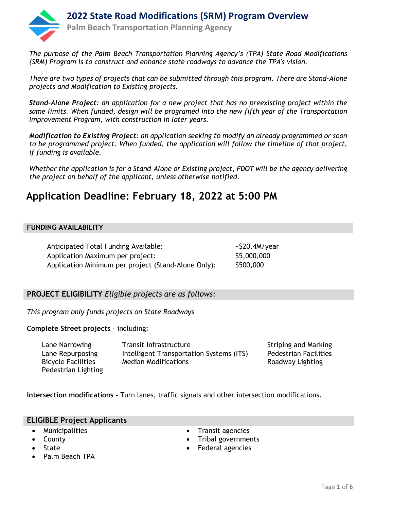

*The purpose of the Palm Beach Transportation Planning Agency's (TPA) State Road Modifications (SRM) Program is to construct and enhance state roadways to advance the TPA's vision.*

*There are two types of projects that can be submitted through this program. There are Stand-Alone projects and Modification to Existing projects.*

*Stand-Alone Project: an application for a new project that has no preexisting project within the same limits. When funded, design will be programed into the new fifth year of the Transportation Improvement Program, with construction in later years.*

*Modification to Existing Project: an application seeking to modify an already programmed or soon to be programmed project. When funded, the application will follow the timeline of that project, if funding is available.* 

*Whether the application is for a Stand-Alone or Existing project, FDOT will be the agency delivering the project on behalf of the applicant, unless otherwise notified.*

# **Application Deadline: February 18, 2022 at 5:00 PM**

## **FUNDING AVAILABILITY**

Anticipated Total Funding Available:  $\frac{520.4M}{year}$ Application Maximum per project: \$5,000,000 Application Minimum per project (Stand-Alone Only): \$500,000

## **PROJECT ELIGIBILITY** *Eligible projects are as follows:*

*This program only funds projects on State Roadways*

**Complete Street projects** – including:

Lane Narrowing Transit Infrastructure The Striping and Marking Lane Repurposing Intelligent Transportation Systems (ITS) Pedestrian Facilities Bicycle Facilities Pedestrian Lighting Median Modifications **Roadway Lighting** 

**Intersection modifications -** Turn lanes, traffic signals and other intersection modifications.

### **ELIGIBLE Project Applicants**

- **Municipalities**
- County
- 
- **State**
- Palm Beach TPA
- Transit agencies
- Tribal governments
- Federal agencies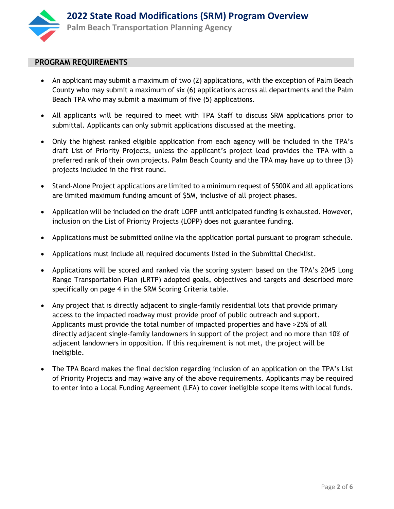

### **PROGRAM REQUIREMENTS**

- An applicant may submit a maximum of two (2) applications, with the exception of Palm Beach County who may submit a maximum of six (6) applications across all departments and the Palm Beach TPA who may submit a maximum of five (5) applications.
- All applicants will be required to meet with TPA Staff to discuss SRM applications prior to submittal. Applicants can only submit applications discussed at the meeting.
- Only the highest ranked eligible application from each agency will be included in the TPA's draft List of Priority Projects, unless the applicant's project lead provides the TPA with a preferred rank of their own projects. Palm Beach County and the TPA may have up to three (3) projects included in the first round.
- Stand-Alone Project applications are limited to a minimum request of \$500K and all applications are limited maximum funding amount of \$5M, inclusive of all project phases.
- Application will be included on the draft LOPP until anticipated funding is exhausted. However, inclusion on the List of Priority Projects (LOPP) does not guarantee funding.
- Applications must be submitted online via the application portal pursuant to program schedule.
- Applications must include all required documents listed in the Submittal Checklist.
- Applications will be scored and ranked via the scoring system based on the TPA's 2045 Long Range Transportation Plan (LRTP) adopted goals, objectives and targets and described more specifically on page 4 in the SRM Scoring Criteria table.
- Any project that is directly adjacent to single-family residential lots that provide primary access to the impacted roadway must provide proof of public outreach and support. Applicants must provide the total number of impacted properties and have >25% of all directly adjacent single-family landowners in support of the project and no more than 10% of adjacent landowners in opposition. If this requirement is not met, the project will be ineligible.
- The TPA Board makes the final decision regarding inclusion of an application on the TPA's List of Priority Projects and may waive any of the above requirements. Applicants may be required to enter into a Local Funding Agreement (LFA) to cover ineligible scope items with local funds.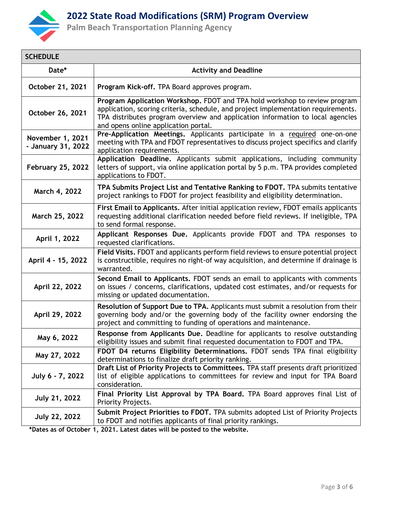

## **2022 State Road Modifications (SRM) Program Overview**

**Palm Beach Transportation Planning Agency**

| <b>SCHEDULE</b>                        |                                                                                                                                                                                                                                                                                           |  |  |
|----------------------------------------|-------------------------------------------------------------------------------------------------------------------------------------------------------------------------------------------------------------------------------------------------------------------------------------------|--|--|
| Date*                                  | <b>Activity and Deadline</b>                                                                                                                                                                                                                                                              |  |  |
| October 21, 2021                       | Program Kick-off. TPA Board approves program.                                                                                                                                                                                                                                             |  |  |
| October 26, 2021                       | Program Application Workshop. FDOT and TPA hold workshop to review program<br>application, scoring criteria, schedule, and project implementation requirements.<br>TPA distributes program overview and application information to local agencies<br>and opens online application portal. |  |  |
| November 1, 2021<br>- January 31, 2022 | Pre-Application Meetings. Applicants participate in a required one-on-one<br>meeting with TPA and FDOT representatives to discuss project specifics and clarify<br>application requirements.                                                                                              |  |  |
| <b>February 25, 2022</b>               | Application Deadline. Applicants submit applications, including community<br>letters of support, via online application portal by 5 p.m. TPA provides completed<br>applications to FDOT.                                                                                                  |  |  |
| March 4, 2022                          | TPA Submits Project List and Tentative Ranking to FDOT. TPA submits tentative<br>project rankings to FDOT for project feasibility and eligibility determination.                                                                                                                          |  |  |
| March 25, 2022                         | First Email to Applicants. After initial application review, FDOT emails applicants<br>requesting additional clarification needed before field reviews. If ineligible, TPA<br>to send formal response.                                                                                    |  |  |
| April 1, 2022                          | Applicant Responses Due. Applicants provide FDOT and TPA responses to<br>requested clarifications.                                                                                                                                                                                        |  |  |
| April 4 - 15, 2022                     | Field Visits. FDOT and applicants perform field reviews to ensure potential project<br>is constructible, requires no right-of way acquisition, and determine if drainage is<br>warranted.                                                                                                 |  |  |
| April 22, 2022                         | Second Email to Applicants. FDOT sends an email to applicants with comments<br>on issues / concerns, clarifications, updated cost estimates, and/or requests for<br>missing or updated documentation.                                                                                     |  |  |
| April 29, 2022                         | Resolution of Support Due to TPA. Applicants must submit a resolution from their<br>governing body and/or the governing body of the facility owner endorsing the<br>project and committing to funding of operations and maintenance.                                                      |  |  |
| May 6, 2022                            | Response from Applicants Due. Deadline for applicants to resolve outstanding<br>eligibility issues and submit final requested documentation to FDOT and TPA.                                                                                                                              |  |  |
| May 27, 2022                           | FDOT D4 returns Eligibility Determinations. FDOT sends TPA final eligibility<br>determinations to finalize draft priority ranking.                                                                                                                                                        |  |  |
| July 6 - 7, 2022                       | Draft List of Priority Projects to Committees. TPA staff presents draft prioritized<br>list of eligible applications to committees for review and input for TPA Board<br>consideration.                                                                                                   |  |  |
| <b>July 21, 2022</b>                   | Final Priority List Approval by TPA Board. TPA Board approves final List of<br>Priority Projects.                                                                                                                                                                                         |  |  |
| <b>July 22, 2022</b>                   | Submit Project Priorities to FDOT. TPA submits adopted List of Priority Projects<br>to FDOT and notifies applicants of final priority rankings.                                                                                                                                           |  |  |

**\*Dates as of October 1, 2021. Latest dates will be posted to the website.**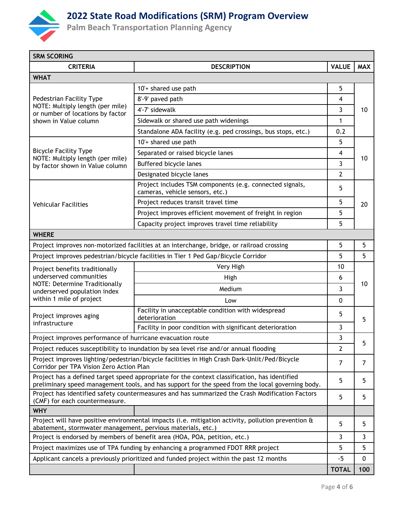

# **2022 State Road Modifications (SRM) Program Overview**

**Palm Beach Transportation Planning Agency**

| <b>SRM SCORING</b>                                                                                                                                                                                |                                                                                                    |                |            |  |
|---------------------------------------------------------------------------------------------------------------------------------------------------------------------------------------------------|----------------------------------------------------------------------------------------------------|----------------|------------|--|
| <b>CRITERIA</b>                                                                                                                                                                                   | <b>DESCRIPTION</b>                                                                                 | <b>VALUE</b>   | <b>MAX</b> |  |
| <b>WHAT</b>                                                                                                                                                                                       |                                                                                                    |                |            |  |
|                                                                                                                                                                                                   | 10'+ shared use path                                                                               | 5              | 10         |  |
| Pedestrian Facility Type                                                                                                                                                                          | 8'-9' paved path                                                                                   | 4              |            |  |
| NOTE: Multiply length (per mile)<br>or number of locations by factor                                                                                                                              | 4'-7' sidewalk                                                                                     | 3              |            |  |
| shown in Value column                                                                                                                                                                             | Sidewalk or shared use path widenings                                                              | 1              |            |  |
|                                                                                                                                                                                                   | Standalone ADA facility (e.g. ped crossings, bus stops, etc.)                                      | 0.2            |            |  |
|                                                                                                                                                                                                   | 10'+ shared use path                                                                               | 5              | 10         |  |
| <b>Bicycle Facility Type</b><br>NOTE: Multiply length (per mile)                                                                                                                                  | Separated or raised bicycle lanes                                                                  | 4              |            |  |
| by factor shown in Value column                                                                                                                                                                   | Buffered bicycle lanes                                                                             | 3              |            |  |
|                                                                                                                                                                                                   | Designated bicycle lanes                                                                           | $\overline{2}$ |            |  |
|                                                                                                                                                                                                   | Project includes TSM components (e.g. connected signals,<br>cameras, vehicle sensors, etc.)        | 5              | 20         |  |
| <b>Vehicular Facilities</b>                                                                                                                                                                       | Project reduces transit travel time                                                                | 5              |            |  |
|                                                                                                                                                                                                   | Project improves efficient movement of freight in region                                           | 5              |            |  |
|                                                                                                                                                                                                   | Capacity project improves travel time reliability                                                  | 5              |            |  |
| <b>WHERE</b>                                                                                                                                                                                      |                                                                                                    |                |            |  |
| Project improves non-motorized facilities at an interchange, bridge, or railroad crossing                                                                                                         |                                                                                                    |                | 5          |  |
| Project improves pedestrian/bicycle facilities in Tier 1 Ped Gap/Bicycle Corridor                                                                                                                 |                                                                                                    |                |            |  |
| Project benefits traditionally                                                                                                                                                                    | Very High                                                                                          | 10             | 10         |  |
| underserved communities                                                                                                                                                                           | High                                                                                               | 6              |            |  |
| <b>NOTE: Determine Traditionally</b><br>underserved population index                                                                                                                              | Medium                                                                                             | 3              |            |  |
| within 1 mile of project                                                                                                                                                                          | Low                                                                                                | 0              |            |  |
| Project improves aging                                                                                                                                                                            | Facility in unacceptable condition with widespread<br>deterioration                                | 5              | 5          |  |
| infrastructure                                                                                                                                                                                    | Facility in poor condition with significant deterioration                                          | 3              |            |  |
| Project improves performance of hurricane evacuation route                                                                                                                                        |                                                                                                    |                |            |  |
| Project reduces susceptibility to inundation by sea level rise and/or annual flooding                                                                                                             |                                                                                                    |                |            |  |
| Project improves lighting/pedestrian/bicycle facilities in High Crash Dark-Unlit/Ped/Bicycle<br>Corridor per TPA Vision Zero Action Plan                                                          |                                                                                                    |                |            |  |
| Project has a defined target speed appropriate for the context classification, has identified<br>preliminary speed management tools, and has support for the speed from the local governing body. |                                                                                                    |                |            |  |
| Project has identified safety countermeasures and has summarized the Crash Modification Factors<br>(CMF) for each countermeasure.                                                                 |                                                                                                    |                | 5          |  |
| <b>WHY</b>                                                                                                                                                                                        |                                                                                                    |                |            |  |
| abatement, stormwater management, pervious materials, etc.)                                                                                                                                       | Project will have positive environmental impacts (i.e. mitigation activity, pollution prevention & | 5              | 5          |  |
|                                                                                                                                                                                                   | Project is endorsed by members of benefit area (HOA, POA, petition, etc.)                          | 3              | 3          |  |
| Project maximizes use of TPA funding by enhancing a programmed FDOT RRR project                                                                                                                   |                                                                                                    |                |            |  |
|                                                                                                                                                                                                   | Applicant cancels a previously prioritized and funded project within the past 12 months            | -5             | 0          |  |
|                                                                                                                                                                                                   |                                                                                                    | <b>TOTAL</b>   | 100        |  |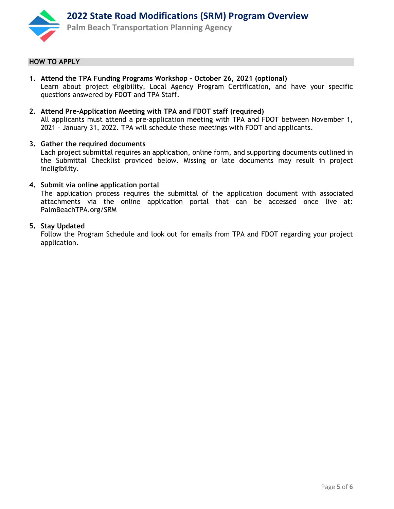

### **HOW TO APPLY**

- **1. Attend the TPA Funding Programs Workshop – October 26, 2021 (optional)** Learn about project eligibility, Local Agency Program Certification, and have your specific questions answered by FDOT and TPA Staff.
- **2. Attend Pre-Application Meeting with TPA and FDOT staff (required)** All applicants must attend a pre-application meeting with TPA and FDOT between November 1, 2021 - January 31, 2022. TPA will schedule these meetings with FDOT and applicants.

### **3. Gather the required documents**

Each project submittal requires an application, online form, and supporting documents outlined in the Submittal Checklist provided below. Missing or late documents may result in project ineligibility.

### **4. Submit via online application portal**

The application process requires the submittal of the application document with associated attachments via the online application portal that can be accessed once live at: PalmBeachTPA.org/SRM

### **5. Stay Updated**

Follow the Program Schedule and look out for emails from TPA and FDOT regarding your project application.